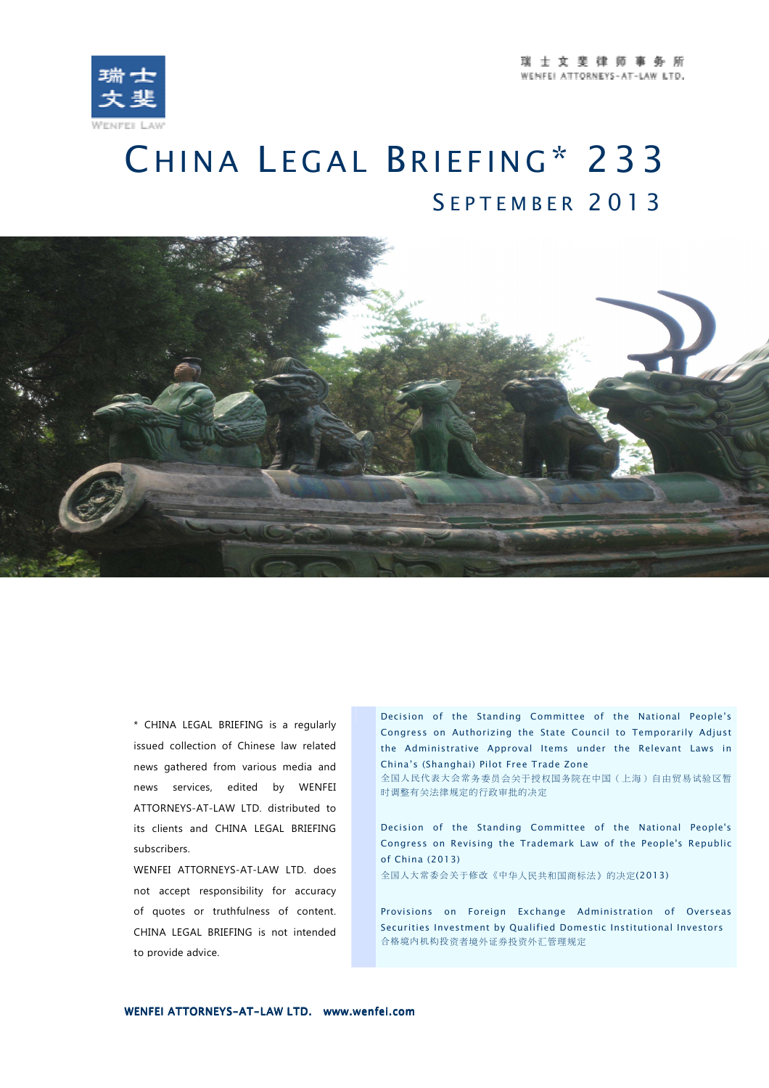

## CHINA LEGAL BRIEFING\* 233 <sup>S</sup> E P T E M B E R 2 0 1 3



\* CHINA LEGAL BRIEFING is a regularly issued collection of Chinese law related news gathered from various media and news services, edited by WENFEI ATTORNEYS-AT-LAW LTD. distributed to its clients and CHINA LEGAL BRIEFING subscribers.

WENFEI ATTORNEYS-AT-LAW LTD. does not accept responsibility for accuracy of quotes or truthfulness of content. CHINA LEGAL BRIEFING is not intended to provide advice.

Decision of the Standing Committee of the National People's Congress on Authorizing the State Council to Temporarily Adjust the Administrative Approval Items under the Relevant Laws in China's (Shanghai) Pilot Free Trade Zone

全国人民代表大会常务委员会关于授权国务院在中国(上海)自由贸易试验区暂 时调整有关法律规定的行政审批的决定

Decision of the Standing Committee of the National People's Congress on Revising the Trademark Law of the People's Republic of China (2013)

全国人大常委会关于修改《中华人民共和国商标法》的决定(2013)

Provisions on Foreign Exchange Administration of Overseas Securities Investment by Qualified Domestic Institutional Investors 合格境内机构投资者境外证券投资外汇管理规定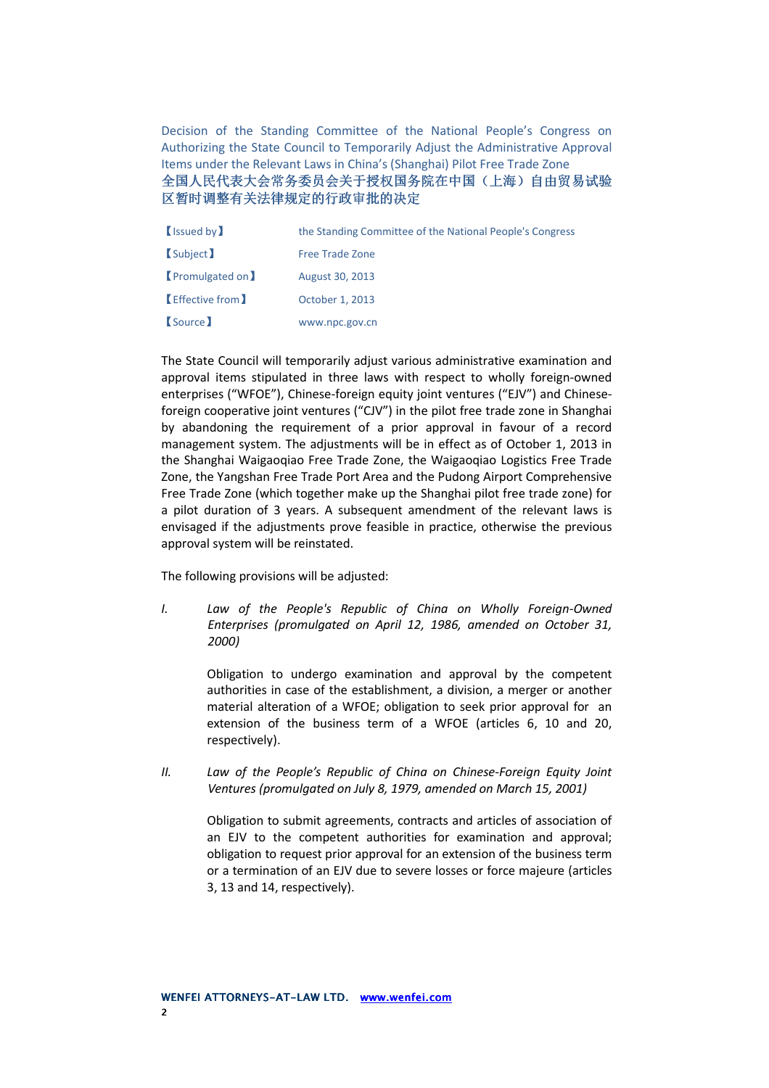Decision of the Standing Committee of the National People's Congress on Authorizing the State Council to Temporarily Adjust the Administrative Approval Items under the Relevant Laws in China's (Shanghai) Pilot Free Trade Zone 全国人民代表大会常务委员会关于授权国务院在中国( 全国人民代表大会常务委员会关于授权国务院在中国(上海)自由贸易试验 区暂时调整有关法律规定的行政审批的决定

| <b>(Issued by)</b>    | the Standing Committee of the National People's Congress |  |
|-----------------------|----------------------------------------------------------|--|
| <b>Subject</b>        | <b>Free Trade Zone</b>                                   |  |
| <b>Promulgated on</b> | August 30, 2013                                          |  |
| Effective from        | October 1, 2013                                          |  |
| (Source)              | www.npc.gov.cn                                           |  |

The State Council will temporarily adjust various administrative examination and approval items stipulated in three laws with respect to wholly foreign-owned enterprises ("WFOE"), Chinese-foreign equity joint ventures ("EJV") and Chineseforeign cooperative joint ventures ("CJV") in the pilot free trade zone in Shanghai by abandoning the requirement of a prior approval in favour of a record management system. The adjustments will be in effect as of October 1, 2013 in the Shanghai Waigaoqiao Free Trade Zone, the Waigaoqiao Logistics Free Trade Zone, the Yangshan Free Trade Port Area and the Pudong Airport Comprehensive Free Trade Zone (which together make up the Shanghai pilot free trade zone) for a pilot duration of 3 years. A subsequent amendment of the relevant laws is envisaged if the adjustments prove feasible in practice, otherwise the previous approval system will be reinstated.

The following provisions will be adjusted:

*I. Law of the People's Republic of China on Wholly Foreign-Owned Enterprises (promulgated on April 12, 1986, amended on October 31, 2000)* 

> Obligation to undergo examination and approval by the competent authorities in case of the establishment, a division, a merger or another material alteration of a WFOE; obligation to seek prior approval for an extension of the business term of a WFOE (articles 6, 10 and 20, respectively).

*II. Law of the People's Republic of China on Chinese-Foreign Equity Joint Ventures (promulgated on July 8, 1979, amended on March 15, 2001)* 

Obligation to submit agreements, contracts and articles of association of an EJV to the competent authorities for examination and approval; obligation to request prior approval for an extension of the business term or a termination of an EJV due to severe losses or force majeure (articles 3, 13 and 14, respectively).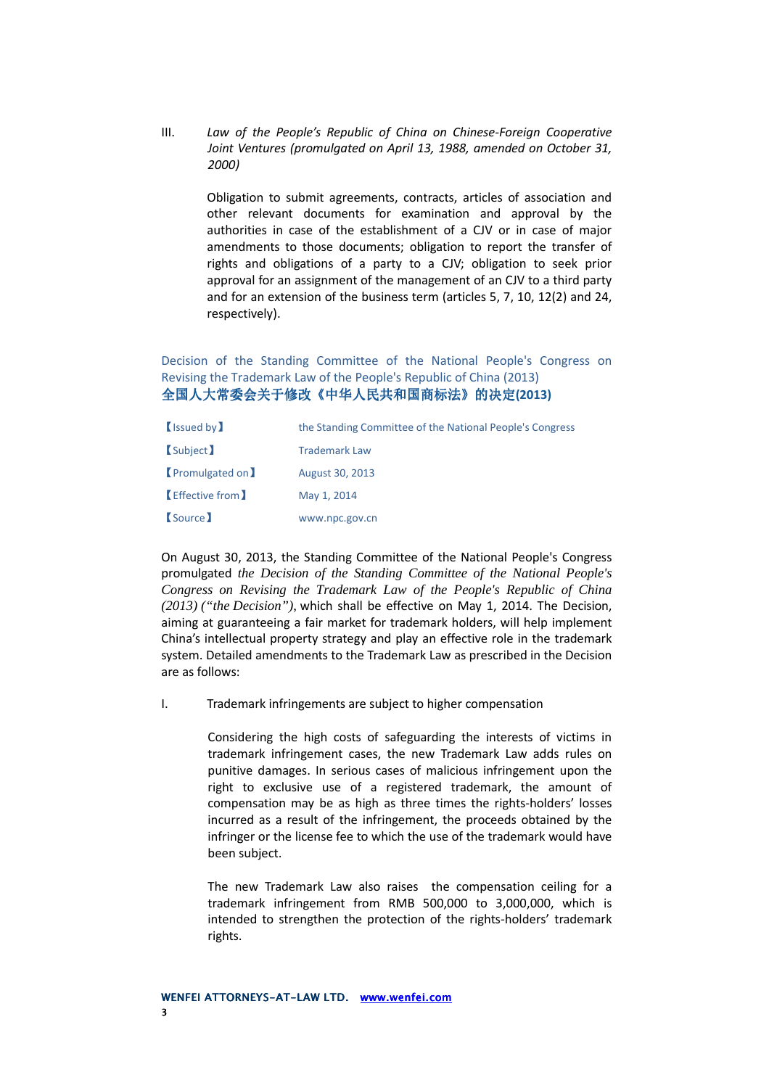III. *Law of the People's Republic of China on Chinese-Foreign Cooperative Joint Ventures (promulgated on April 13, 1988, amended on October 31, 2000)*

> Obligation to submit agreements, contracts, articles of association and other relevant documents for examination and approval by the authorities in case of the establishment of a CJV or in case of major amendments to those documents; obligation to report the transfer of rights and obligations of a party to a CJV; obligation to seek prior approval for an assignment of the management of an CJV to a third party and for an extension of the business term (articles 5, 7, 10, 12(2) and 24, respectively).

Decision of the Standing Committee of the National People's Congress on Revising the Trademark Law of the People's Republic of China (2013) 全国人大常委会关于修改《 全国人大常委会关于修改《中华人民共和国商标法 中华人民共和国商标法中华人民共和国商标法》的决定**(2013)** 

| <b>(Issued by)</b>    | the Standing Committee of the National People's Congress |  |
|-----------------------|----------------------------------------------------------|--|
| <b>Subject</b>        | <b>Trademark Law</b>                                     |  |
| <b>Promulgated on</b> | August 30, 2013                                          |  |
| Effective from        | May 1, 2014                                              |  |
| <b>Source</b>         | www.npc.gov.cn                                           |  |

On August 30, 2013, the Standing Committee of the National People's Congress promulgated *the Decision of the Standing Committee of the National People's Congress on Revising the Trademark Law of the People's Republic of China (2013) ("the Decision")*, which shall be effective on May 1, 2014. The Decision, aiming at guaranteeing a fair market for trademark holders, will help implement China's intellectual property strategy and play an effective role in the trademark system. Detailed amendments to the Trademark Law as prescribed in the Decision are as follows:

I. Trademark infringements are subject to higher compensation

Considering the high costs of safeguarding the interests of victims in trademark infringement cases, the new Trademark Law adds rules on punitive damages. In serious cases of malicious infringement upon the right to exclusive use of a registered trademark, the amount of compensation may be as high as three times the rights-holders' losses incurred as a result of the infringement, the proceeds obtained by the infringer or the license fee to which the use of the trademark would have been subject.

The new Trademark Law also raises the compensation ceiling for a trademark infringement from RMB 500,000 to 3,000,000, which is intended to strengthen the protection of the rights-holders' trademark rights.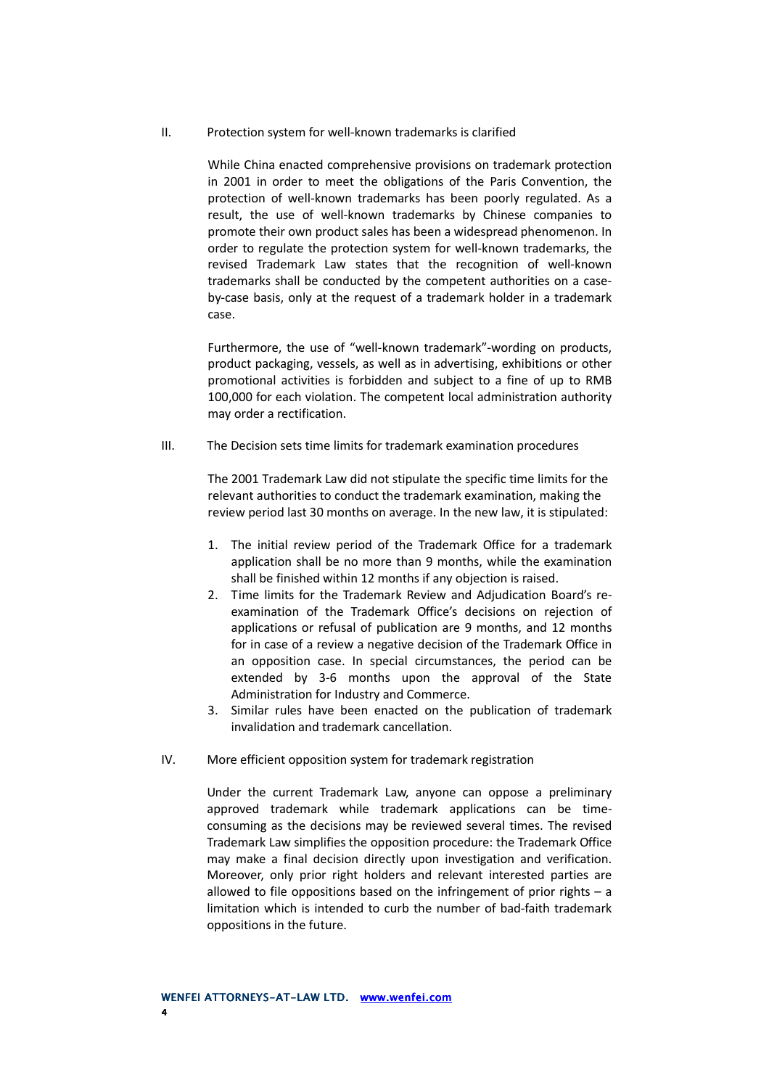II. Protection system for well-known trademarks is clarified

While China enacted comprehensive provisions on trademark protection in 2001 in order to meet the obligations of the Paris Convention, the protection of well-known trademarks has been poorly regulated. As a result, the use of well-known trademarks by Chinese companies to promote their own product sales has been a widespread phenomenon. In order to regulate the protection system for well-known trademarks, the revised Trademark Law states that the recognition of well-known trademarks shall be conducted by the competent authorities on a caseby-case basis, only at the request of a trademark holder in a trademark case.

Furthermore, the use of "well-known trademark"-wording on products, product packaging, vessels, as well as in advertising, exhibitions or other promotional activities is forbidden and subject to a fine of up to RMB 100,000 for each violation. The competent local administration authority may order a rectification.

III. The Decision sets time limits for trademark examination procedures

The 2001 Trademark Law did not stipulate the specific time limits for the relevant authorities to conduct the trademark examination, making the review period last 30 months on average. In the new law, it is stipulated:

- 1. The initial review period of the Trademark Office for a trademark application shall be no more than 9 months, while the examination shall be finished within 12 months if any objection is raised.
- 2. Time limits for the Trademark Review and Adjudication Board's reexamination of the Trademark Office's decisions on rejection of applications or refusal of publication are 9 months, and 12 months for in case of a review a negative decision of the Trademark Office in an opposition case. In special circumstances, the period can be extended by 3-6 months upon the approval of the State Administration for Industry and Commerce.
- 3. Similar rules have been enacted on the publication of trademark invalidation and trademark cancellation.
- IV. More efficient opposition system for trademark registration

Under the current Trademark Law, anyone can oppose a preliminary approved trademark while trademark applications can be timeconsuming as the decisions may be reviewed several times. The revised Trademark Law simplifies the opposition procedure: the Trademark Office may make a final decision directly upon investigation and verification. Moreover, only prior right holders and relevant interested parties are allowed to file oppositions based on the infringement of prior rights  $- a$ limitation which is intended to curb the number of bad-faith trademark oppositions in the future.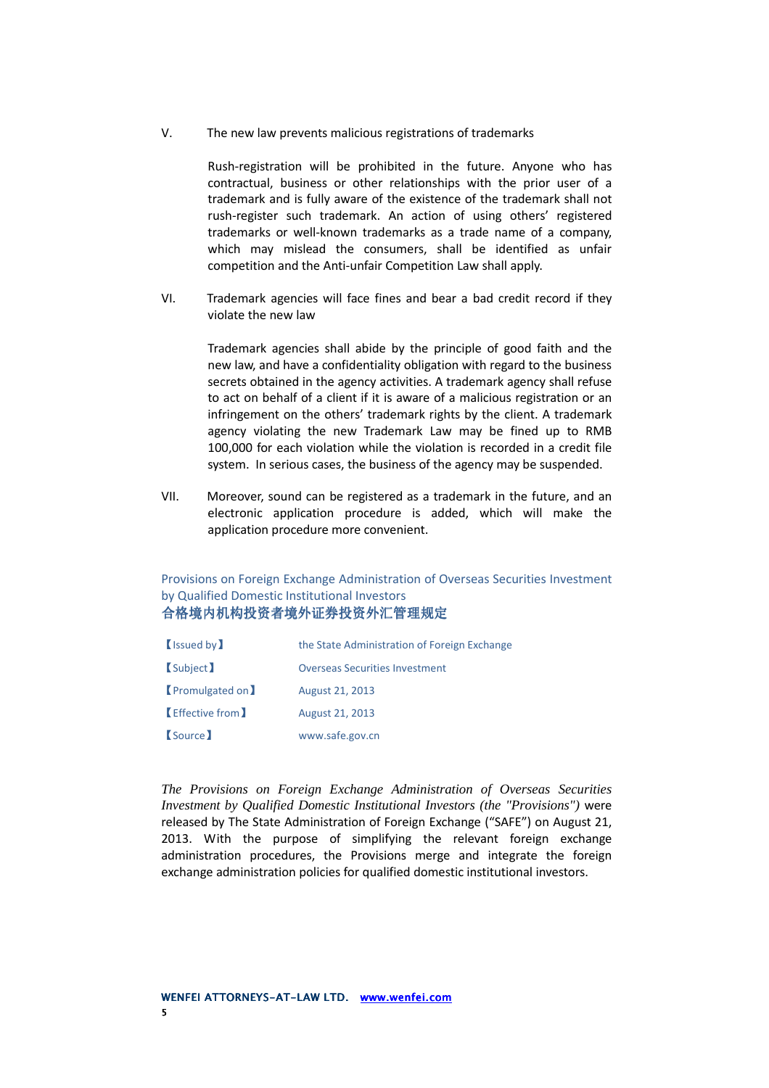V. The new law prevents malicious registrations of trademarks

Rush-registration will be prohibited in the future. Anyone who has contractual, business or other relationships with the prior user of a trademark and is fully aware of the existence of the trademark shall not rush-register such trademark. An action of using others' registered trademarks or well-known trademarks as a trade name of a company, which may mislead the consumers, shall be identified as unfair competition and the Anti-unfair Competition Law shall apply.

VI. Trademark agencies will face fines and bear a bad credit record if they violate the new law

> Trademark agencies shall abide by the principle of good faith and the new law, and have a confidentiality obligation with regard to the business secrets obtained in the agency activities. A trademark agency shall refuse to act on behalf of a client if it is aware of a malicious registration or an infringement on the others' trademark rights by the client. A trademark agency violating the new Trademark Law may be fined up to RMB 100,000 for each violation while the violation is recorded in a credit file system. In serious cases, the business of the agency may be suspended.

VII. Moreover, sound can be registered as a trademark in the future, and an electronic application procedure is added, which will make the application procedure more convenient.

Provisions on Foreign Exchange Administration of Overseas Securities Investment by Qualified Domestic Institutional Investors 合格境内机构投资者境外证券投资外汇管理规定

| (Issued by            | the State Administration of Foreign Exchange |
|-----------------------|----------------------------------------------|
| <b>Subject</b>        | <b>Overseas Securities Investment</b>        |
| <b>Promulgated on</b> | August 21, 2013                              |
| <b>Effective from</b> | August 21, 2013                              |
| <b>Source</b>         | www.safe.gov.cn                              |

*The Provisions on Foreign Exchange Administration of Overseas Securities Investment by Qualified Domestic Institutional Investors (the "Provisions")* were released by The State Administration of Foreign Exchange ("SAFE") on August 21, 2013. With the purpose of simplifying the relevant foreign exchange administration procedures, the Provisions merge and integrate the foreign exchange administration policies for qualified domestic institutional investors.